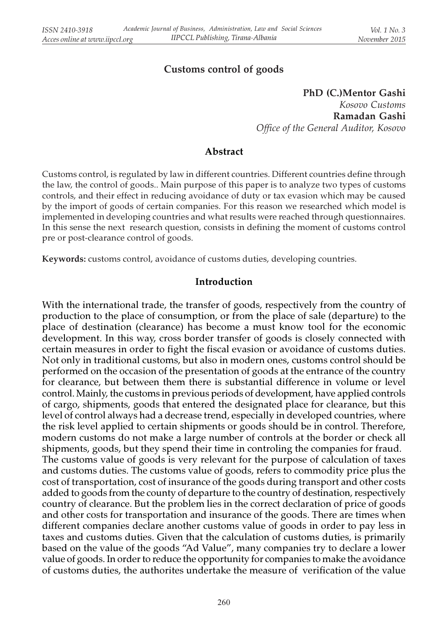# Customs control of goods

PhD (C.)Mentor Gashi Kosovo Customs Ramadan Gashi Office of the General Auditor, Kosovo

### Abstract

Customs control, is regulated by law in different countries. Different countries define through the law, the control of goods.. Main purpose of this paper is to analyze two types of customs controls, and their effect in reducing avoidance of duty or tax evasion which may be caused by the import of goods of certain companies. For this reason we researched which model is implemented in developing countries and what results were reached through questionnaires. In this sense the next research question, consists in defining the moment of customs control pre or post-clearance control of goods.

Keywords: customs control, avoidance of customs duties, developing countries.

#### Introduction

With the international trade, the transfer of goods, respectively from the country of production to the place of consumption, or from the place of sale (departure) to the place of destination (clearance) has become a must know tool for the economic development. In this way, cross border transfer of goods is closely connected with certain measures in order to fight the fiscal evasion or avoidance of customs duties. Not only in traditional customs, but also in modern ones, customs control should be performed on the occasion of the presentation of goods at the entrance of the country for clearance, but between them there is substantial difference in volume or level control. Mainly, the customs in previous periods of development, have applied controls of cargo, shipments, goods that entered the designated place for clearance, but this level of control always had a decrease trend, especially in developed countries, where the risk level applied to certain shipments or goods should be in control. Therefore, modern customs do not make a large number of controls at the border or check all shipments, goods, but they spend their time in controling the companies for fraud. The customs value of goods is very relevant for the purpose of calculation of taxes and customs duties. The customs value of goods, refers to commodity price plus the cost of transportation, cost of insurance of the goods during transport and other costs added to goods from the county of departure to the country of destination, respectively country of clearance. But the problem lies in the correct declaration of price of goods and other costs for transportation and insurance of the goods. There are times when different companies declare another customs value of goods in order to pay less in taxes and customs duties. Given that the calculation of customs duties, is primarily based on the value of the goods "Ad Value", many companies try to declare a lower value of goods. In order to reduce the opportunity for companies to make the avoidance of customs duties, the authorites undertake the measure of verification of the value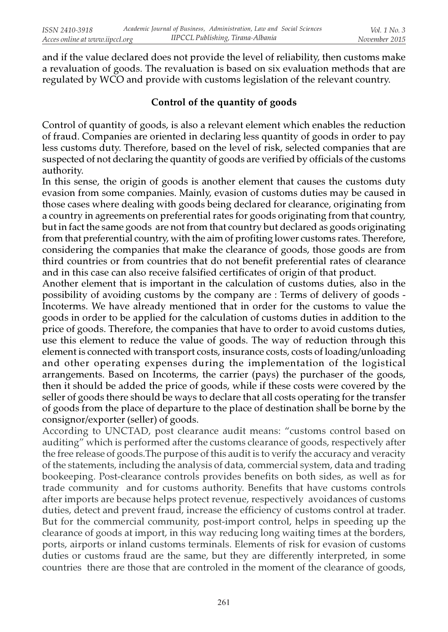and if the value declared does not provide the level of reliability, then customs make a revaluation of goods. The revaluation is based on six evaluation methods that are regulated by WCO and provide with customs legislation of the relevant country.

## Control of the quantity of goods

Control of quantity of goods, is also a relevant element which enables the reduction of fraud. Companies are oriented in declaring less quantity of goods in order to pay less customs duty. Therefore, based on the level of risk, selected companies that are suspected of not declaring the quantity of goods are verified by officials of the customs authority.

In this sense, the origin of goods is another element that causes the customs duty evasion from some companies. Mainly, evasion of customs duties may be caused in those cases where dealing with goods being declared for clearance, originating from a country in agreements on preferential rates for goods originating from that country, but in fact the same goods are not from that country but declared as goods originating from that preferential country, with the aim of profiting lower customs rates. Therefore, considering the companies that make the clearance of goods, those goods are from third countries or from countries that do not benefit preferential rates of clearance and in this case can also receive falsified certificates of origin of that product.

Another element that is important in the calculation of customs duties, also in the possibility of avoiding customs by the company are : Terms of delivery of goods - Incoterms. We have already mentioned that in order for the customs to value the goods in order to be applied for the calculation of customs duties in addition to the price of goods. Therefore, the companies that have to order to avoid customs duties, use this element to reduce the value of goods. The way of reduction through this element is connected with transport costs, insurance costs, costs of loading/unloading and other operating expenses during the implementation of the logistical arrangements. Based on Incoterms, the carrier (pays) the purchaser of the goods, then it should be added the price of goods, while if these costs were covered by the seller of goods there should be ways to declare that all costs operating for the transfer of goods from the place of departure to the place of destination shall be borne by the consignor/exporter (seller) of goods.

According to UNCTAD, post clearance audit means: "customs control based on auditing" which is performed after the customs clearance of goods, respectively after the free release of goods.The purpose of this audit is to verify the accuracy and veracity of the statements, including the analysis of data, commercial system, data and trading bookeeping. Post-clearance controls provides benefits on both sides, as well as for trade community and for customs authority. Benefits that have customs controls after imports are because helps protect revenue, respectively avoidances of customs duties, detect and prevent fraud, increase the efficiency of customs control at trader. But for the commercial community, post-import control, helps in speeding up the clearance of goods at import, in this way reducing long waiting times at the borders, ports, airports or inland customs terminals. Elements of risk for evasion of customs duties or customs fraud are the same, but they are differently interpreted, in some countries there are those that are controled in the moment of the clearance of goods,